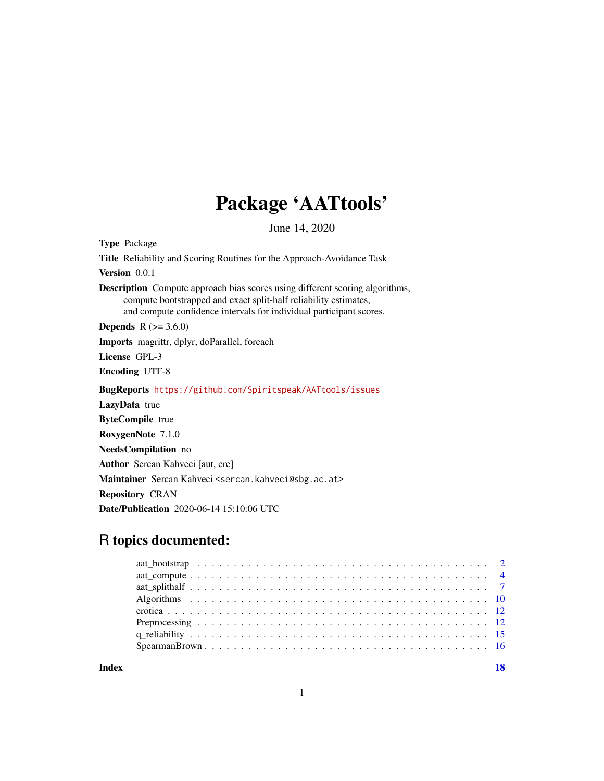## Package 'AATtools'

June 14, 2020

Type Package Title Reliability and Scoring Routines for the Approach-Avoidance Task Version 0.0.1 Description Compute approach bias scores using different scoring algorithms, compute bootstrapped and exact split-half reliability estimates, and compute confidence intervals for individual participant scores. **Depends** R  $(>= 3.6.0)$ Imports magrittr, dplyr, doParallel, foreach License GPL-3 Encoding UTF-8 BugReports <https://github.com/Spiritspeak/AATtools/issues> LazyData true ByteCompile true RoxygenNote 7.1.0 NeedsCompilation no Author Sercan Kahveci [aut, cre] Maintainer Sercan Kahveci <sercan.kahveci@sbg.ac.at> Repository CRAN Date/Publication 2020-06-14 15:10:06 UTC

## R topics documented:

**Index** 2008 **[18](#page-17-0)**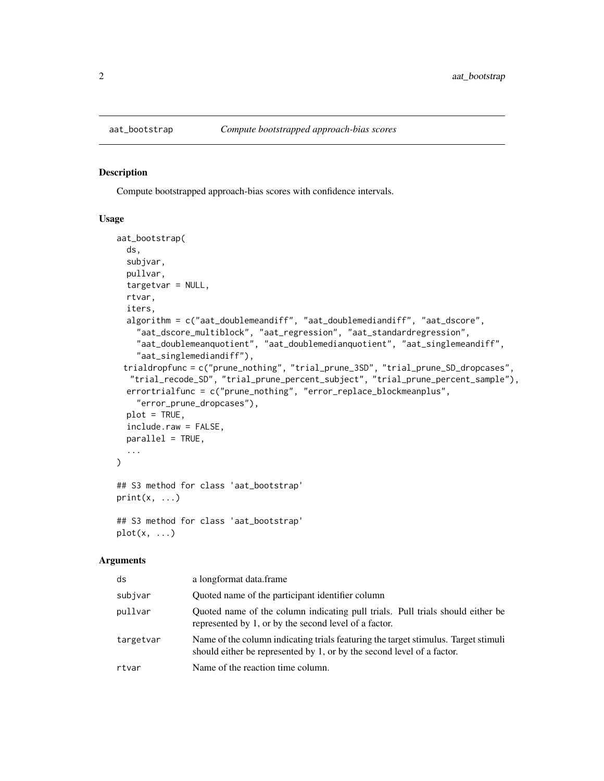#### Description

Compute bootstrapped approach-bias scores with confidence intervals.

#### Usage

```
aat_bootstrap(
  ds,
  subjvar,
  pullvar,
  targetvar = NULL,
  rtvar,
  iters,
  algorithm = c("aat_doublemeandiff", "aat_doublemediandiff", "aat_dscore",
    "aat_dscore_multiblock", "aat_regression", "aat_standardregression",
    "aat_doublemeanquotient", "aat_doublemedianquotient", "aat_singlemeandiff",
    "aat_singlemediandiff"),
 trialdropfunc = c("prune_nothing", "trial_prune_3SD", "trial_prune_SD_dropcases",
   "trial_recode_SD", "trial_prune_percent_subject", "trial_prune_percent_sample"),
  errortrialfunc = c("prune_nothing", "error_replace_blockmeanplus",
    "error_prune_dropcases"),
  plot = TRUE,
  include.raw = FALSE,
  parallel = TRUE,
  ...
\mathcal{L}## S3 method for class 'aat_bootstrap'
print(x, \ldots)## S3 method for class 'aat_bootstrap'
```
## Arguments

 $plot(x, \ldots)$ 

| ds        | a longformat data.frame                                                                                                                                      |
|-----------|--------------------------------------------------------------------------------------------------------------------------------------------------------------|
| subjvar   | Quoted name of the participant identifier column                                                                                                             |
| pullvar   | Quoted name of the column indicating pull trials. Pull trials should either be<br>represented by 1, or by the second level of a factor.                      |
| targetvar | Name of the column indicating trials featuring the target stimulus. Target stimuli<br>should either be represented by 1, or by the second level of a factor. |
| rtvar     | Name of the reaction time column.                                                                                                                            |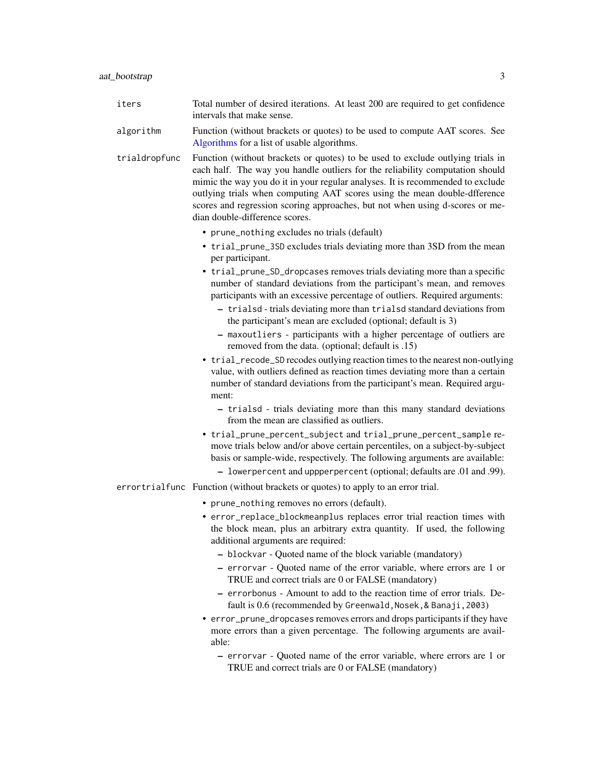- <span id="page-2-0"></span>algorithm Function (without brackets or quotes) to be used to compute AAT scores. See [Algorithms](#page-9-1) for a list of usable algorithms.
- trialdropfunc Function (without brackets or quotes) to be used to exclude outlying trials in each half. The way you handle outliers for the reliability computation should mimic the way you do it in your regular analyses. It is recommended to exclude outlying trials when computing AAT scores using the mean double-dfference scores and regression scoring approaches, but not when using d-scores or median double-difference scores.
	- prune\_nothing excludes no trials (default)
	- trial\_prune\_3SD excludes trials deviating more than 3SD from the mean per participant.
	- trial\_prune\_SD\_dropcases removes trials deviating more than a specific number of standard deviations from the participant's mean, and removes participants with an excessive percentage of outliers. Required arguments:
		- trialsd trials deviating more than trialsd standard deviations from the participant's mean are excluded (optional; default is 3)
		- maxoutliers participants with a higher percentage of outliers are removed from the data. (optional; default is .15)
	- trial\_recode\_SD recodes outlying reaction times to the nearest non-outlying value, with outliers defined as reaction times deviating more than a certain number of standard deviations from the participant's mean. Required argument:
		- trialsd trials deviating more than this many standard deviations from the mean are classified as outliers.
	- trial\_prune\_percent\_subject and trial\_prune\_percent\_sample remove trials below and/or above certain percentiles, on a subject-by-subject basis or sample-wide, respectively. The following arguments are available:
		- lowerpercent and uppperpercent (optional; defaults are .01 and .99).
- errortrialfunc Function (without brackets or quotes) to apply to an error trial.
	- prune\_nothing removes no errors (default).
	- error\_replace\_blockmeanplus replaces error trial reaction times with the block mean, plus an arbitrary extra quantity. If used, the following additional arguments are required:
		- blockvar Quoted name of the block variable (mandatory)
		- errorvar Quoted name of the error variable, where errors are 1 or TRUE and correct trials are 0 or FALSE (mandatory)
		- errorbonus Amount to add to the reaction time of error trials. Default is 0.6 (recommended by Greenwald, Nosek, & Banaji, 2003)
	- error\_prune\_dropcases removes errors and drops participants if they have more errors than a given percentage. The following arguments are available:
		- errorvar Quoted name of the error variable, where errors are 1 or TRUE and correct trials are 0 or FALSE (mandatory)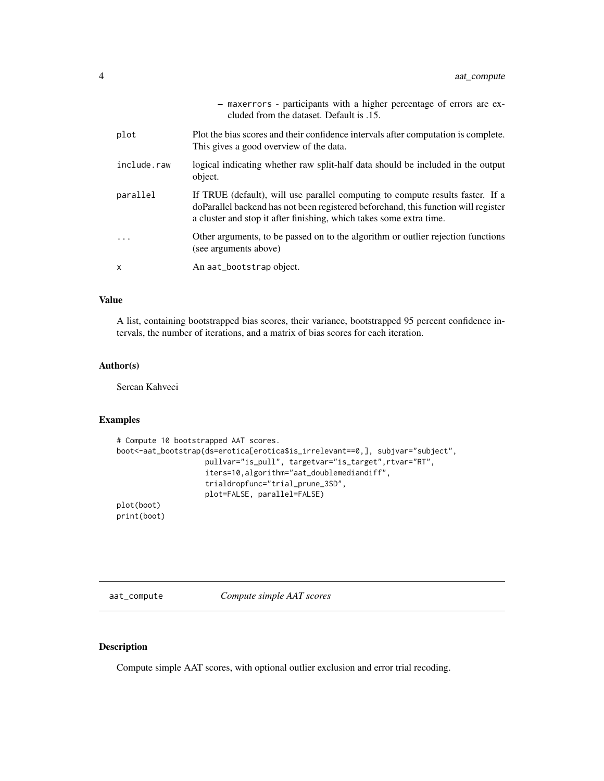<span id="page-3-0"></span>

|             | - maxerrors - participants with a higher percentage of errors are ex-<br>cluded from the dataset. Default is .15.                                                                                                                           |
|-------------|---------------------------------------------------------------------------------------------------------------------------------------------------------------------------------------------------------------------------------------------|
| plot        | Plot the bias scores and their confidence intervals after computation is complete.<br>This gives a good overview of the data.                                                                                                               |
| include.raw | logical indicating whether raw split-half data should be included in the output<br>object.                                                                                                                                                  |
| parallel    | If TRUE (default), will use parallel computing to compute results faster. If a<br>doParallel backend has not been registered beforehand, this function will register<br>a cluster and stop it after finishing, which takes some extra time. |
|             | Other arguments, to be passed on to the algorithm or outlier rejection functions<br>(see arguments above)                                                                                                                                   |
| X           | An aat_bootstrap object.                                                                                                                                                                                                                    |

#### Value

A list, containing bootstrapped bias scores, their variance, bootstrapped 95 percent confidence intervals, the number of iterations, and a matrix of bias scores for each iteration.

#### Author(s)

Sercan Kahveci

#### Examples

```
# Compute 10 bootstrapped AAT scores.
boot<-aat_bootstrap(ds=erotica[erotica$is_irrelevant==0,], subjvar="subject",
                    pullvar="is_pull", targetvar="is_target",rtvar="RT",
                    iters=10,algorithm="aat_doublemediandiff",
                    trialdropfunc="trial_prune_3SD",
                    plot=FALSE, parallel=FALSE)
plot(boot)
print(boot)
```
<span id="page-3-1"></span>aat\_compute *Compute simple AAT scores*

#### Description

Compute simple AAT scores, with optional outlier exclusion and error trial recoding.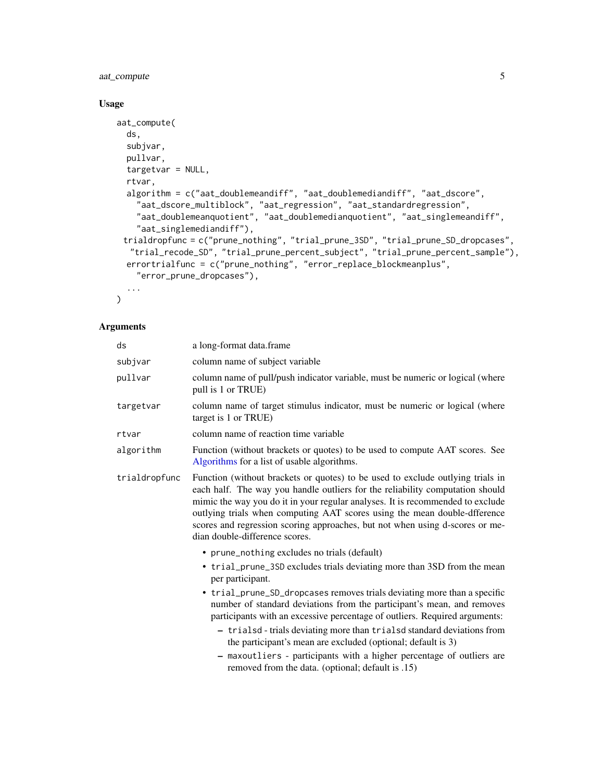## <span id="page-4-0"></span>aat\_compute 5

#### Usage

```
aat_compute(
 ds,
  subjvar,
 pullvar,
 targetvar = NULL,
  rtvar,
  algorithm = c("aat_doublemeandiff", "aat_doublemediandiff", "aat_dscore",
    "aat_dscore_multiblock", "aat_regression", "aat_standardregression",
    "aat_doublemeanquotient", "aat_doublemedianquotient", "aat_singlemeandiff",
    "aat_singlemediandiff"),
 trialdropfunc = c("prune_nothing", "trial_prune_3SD", "trial_prune_SD_dropcases",
  "trial_recode_SD", "trial_prune_percent_subject", "trial_prune_percent_sample"),
 errortrialfunc = c("prune_nothing", "error_replace_blockmeanplus",
    "error_prune_dropcases"),
  ...
```
#### Arguments

 $\mathcal{L}$ 

| ds            | a long-format data.frame                                                                                                                                                                                                                                                                                                                                                                                                                                                                                                                                                                                                                                 |
|---------------|----------------------------------------------------------------------------------------------------------------------------------------------------------------------------------------------------------------------------------------------------------------------------------------------------------------------------------------------------------------------------------------------------------------------------------------------------------------------------------------------------------------------------------------------------------------------------------------------------------------------------------------------------------|
| subjvar       | column name of subject variable                                                                                                                                                                                                                                                                                                                                                                                                                                                                                                                                                                                                                          |
| pullvar       | column name of pull/push indicator variable, must be numeric or logical (where<br>pull is 1 or TRUE)                                                                                                                                                                                                                                                                                                                                                                                                                                                                                                                                                     |
| targetvar     | column name of target stimulus indicator, must be numeric or logical (where<br>target is 1 or TRUE)                                                                                                                                                                                                                                                                                                                                                                                                                                                                                                                                                      |
| rtvar         | column name of reaction time variable                                                                                                                                                                                                                                                                                                                                                                                                                                                                                                                                                                                                                    |
| algorithm     | Function (without brackets or quotes) to be used to compute AAT scores. See<br>Algorithms for a list of usable algorithms.                                                                                                                                                                                                                                                                                                                                                                                                                                                                                                                               |
| trialdropfunc | Function (without brackets or quotes) to be used to exclude outlying trials in<br>each half. The way you handle outliers for the reliability computation should<br>mimic the way you do it in your regular analyses. It is recommended to exclude<br>outlying trials when computing AAT scores using the mean double-dfference<br>scores and regression scoring approaches, but not when using d-scores or me-<br>dian double-difference scores.                                                                                                                                                                                                         |
|               | • prune_nothing excludes no trials (default)<br>• trial_prune_3SD excludes trials deviating more than 3SD from the mean<br>per participant.<br>• trial_prune_SD_dropcases removes trials deviating more than a specific<br>number of standard deviations from the participant's mean, and removes<br>participants with an excessive percentage of outliers. Required arguments:<br>- trialsd - trials deviating more than trialsd standard deviations from<br>the participant's mean are excluded (optional; default is 3)<br>- maxoutliers - participants with a higher percentage of outliers are<br>removed from the data. (optional; default is .15) |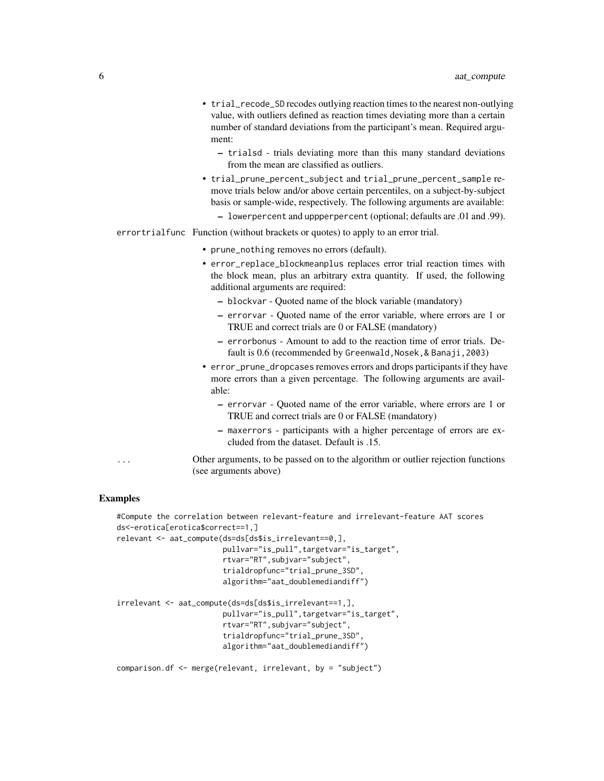- trial\_recode\_SD recodes outlying reaction times to the nearest non-outlying value, with outliers defined as reaction times deviating more than a certain number of standard deviations from the participant's mean. Required argument:
	- trialsd trials deviating more than this many standard deviations from the mean are classified as outliers.
- trial\_prune\_percent\_subject and trial\_prune\_percent\_sample remove trials below and/or above certain percentiles, on a subject-by-subject basis or sample-wide, respectively. The following arguments are available:
	- lowerpercent and uppperpercent (optional; defaults are .01 and .99).
- errortrialfunc Function (without brackets or quotes) to apply to an error trial.
	- prune\_nothing removes no errors (default).
	- error\_replace\_blockmeanplus replaces error trial reaction times with the block mean, plus an arbitrary extra quantity. If used, the following additional arguments are required:
		- blockvar Quoted name of the block variable (mandatory)
		- errorvar Quoted name of the error variable, where errors are 1 or TRUE and correct trials are 0 or FALSE (mandatory)
		- errorbonus Amount to add to the reaction time of error trials. Default is 0.6 (recommended by Greenwald, Nosek, & Banaji, 2003)
	- error\_prune\_dropcases removes errors and drops participants if they have more errors than a given percentage. The following arguments are available:
		- errorvar Quoted name of the error variable, where errors are 1 or TRUE and correct trials are 0 or FALSE (mandatory)
		- maxerrors participants with a higher percentage of errors are excluded from the dataset. Default is .15.

... Other arguments, to be passed on to the algorithm or outlier rejection functions (see arguments above)

#### Examples

```
#Compute the correlation between relevant-feature and irrelevant-feature AAT scores
ds<-erotica[erotica$correct==1,]
relevant <- aat_compute(ds=ds[ds$is_irrelevant==0,],
                        pullvar="is_pull",targetvar="is_target",
                        rtvar="RT",subjvar="subject",
                        trialdropfunc="trial_prune_3SD",
                        algorithm="aat_doublemediandiff")
irrelevant <- aat_compute(ds=ds[ds$is_irrelevant==1,],
                        pullvar="is_pull",targetvar="is_target",
                        rtvar="RT",subjvar="subject",
                        trialdropfunc="trial_prune_3SD",
                        algorithm="aat_doublemediandiff")
comparison.df <- merge(relevant, irrelevant, by = "subject")
```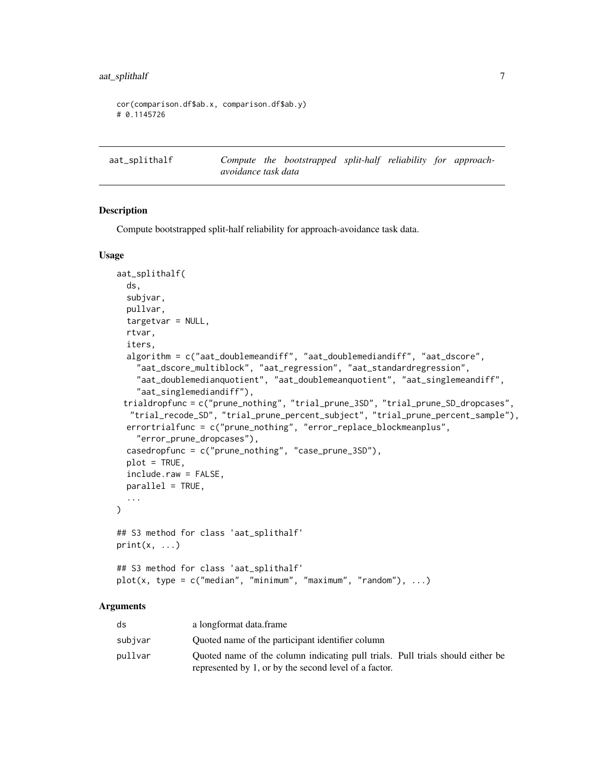```
cor(comparison.df$ab.x, comparison.df$ab.y)
# 0.1145726
```
<span id="page-6-1"></span>aat\_splithalf *Compute the bootstrapped split-half reliability for approachavoidance task data*

#### Description

Compute bootstrapped split-half reliability for approach-avoidance task data.

#### Usage

```
aat_splithalf(
  ds,
 subjvar,
 pullvar,
  targetvar = NULL,
  rtvar,
  iters,
  algorithm = c("aat_doublemeandiff", "aat_doublemediandiff", "aat_dscore",
    "aat_dscore_multiblock", "aat_regression", "aat_standardregression",
    "aat_doublemedianquotient", "aat_doublemeanquotient", "aat_singlemeandiff",
    "aat_singlemediandiff"),
 trialdropfunc = c("prune_nothing", "trial_prune_3SD", "trial_prune_SD_dropcases",
  "trial_recode_SD", "trial_prune_percent_subject", "trial_prune_percent_sample"),
 errortrialfunc = c("prune_nothing", "error_replace_blockmeanplus",
    "error_prune_dropcases"),
  casedropfunc = c("prune_nothing", "case_prune_3SD"),
 plot = TRUE,
  include.raw = FALSE,
 parallel = TRUE,
  ...
\lambda## S3 method for class 'aat_splithalf'
print(x, \ldots)## S3 method for class 'aat_splithalf'
plot(x, type = c("median", "minimum", "maximum", "random"), ...)
```
#### Arguments

| ds      | a longformat data.frame                                                        |
|---------|--------------------------------------------------------------------------------|
| subjvar | Quoted name of the participant identifier column                               |
| pullvar | Quoted name of the column indicating pull trials. Pull trials should either be |
|         | represented by 1, or by the second level of a factor.                          |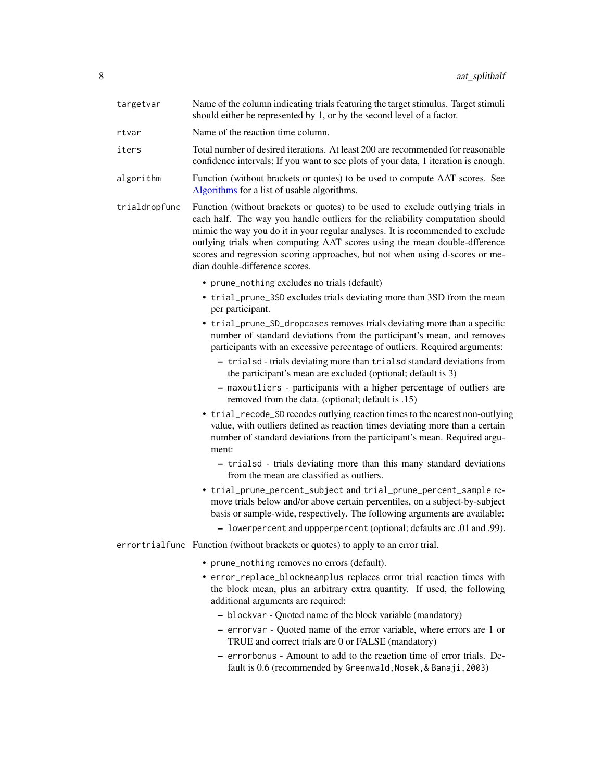<span id="page-7-0"></span>

| targetvar     | Name of the column indicating trials featuring the target stimulus. Target stimuli<br>should either be represented by 1, or by the second level of a factor.                                                                                                                                                                                                                                                                                     |
|---------------|--------------------------------------------------------------------------------------------------------------------------------------------------------------------------------------------------------------------------------------------------------------------------------------------------------------------------------------------------------------------------------------------------------------------------------------------------|
| rtvar         | Name of the reaction time column.                                                                                                                                                                                                                                                                                                                                                                                                                |
| iters         | Total number of desired iterations. At least 200 are recommended for reasonable<br>confidence intervals; If you want to see plots of your data, 1 iteration is enough.                                                                                                                                                                                                                                                                           |
| algorithm     | Function (without brackets or quotes) to be used to compute AAT scores. See<br>Algorithms for a list of usable algorithms.                                                                                                                                                                                                                                                                                                                       |
| trialdropfunc | Function (without brackets or quotes) to be used to exclude outlying trials in<br>each half. The way you handle outliers for the reliability computation should<br>mimic the way you do it in your regular analyses. It is recommended to exclude<br>outlying trials when computing AAT scores using the mean double-dfference<br>scores and regression scoring approaches, but not when using d-scores or me-<br>dian double-difference scores. |
|               | • prune_nothing excludes no trials (default)                                                                                                                                                                                                                                                                                                                                                                                                     |
|               | • trial_prune_3SD excludes trials deviating more than 3SD from the mean<br>per participant.                                                                                                                                                                                                                                                                                                                                                      |
|               | • trial_prune_SD_dropcases removes trials deviating more than a specific<br>number of standard deviations from the participant's mean, and removes<br>participants with an excessive percentage of outliers. Required arguments:                                                                                                                                                                                                                 |
|               | - trialsd - trials deviating more than trialsd standard deviations from<br>the participant's mean are excluded (optional; default is 3)                                                                                                                                                                                                                                                                                                          |
|               | - maxoutliers - participants with a higher percentage of outliers are<br>removed from the data. (optional; default is .15)                                                                                                                                                                                                                                                                                                                       |
|               | • trial_recode_SD recodes outlying reaction times to the nearest non-outlying<br>value, with outliers defined as reaction times deviating more than a certain<br>number of standard deviations from the participant's mean. Required argu-<br>ment:                                                                                                                                                                                              |
|               | - trialsd - trials deviating more than this many standard deviations<br>from the mean are classified as outliers.                                                                                                                                                                                                                                                                                                                                |
|               | • trial_prune_percent_subject and trial_prune_percent_sample re-<br>move trials below and/or above certain percentiles, on a subject-by-subject<br>basis or sample-wide, respectively. The following arguments are available:                                                                                                                                                                                                                    |
|               | - lowerpercent and uppperpercent (optional; defaults are .01 and .99).                                                                                                                                                                                                                                                                                                                                                                           |
|               | errortrialfunc Function (without brackets or quotes) to apply to an error trial.                                                                                                                                                                                                                                                                                                                                                                 |
|               | • prune_nothing removes no errors (default).                                                                                                                                                                                                                                                                                                                                                                                                     |
|               | • error_replace_blockmeanplus replaces error trial reaction times with<br>the block mean, plus an arbitrary extra quantity. If used, the following<br>additional arguments are required:                                                                                                                                                                                                                                                         |
|               | - blockvar - Quoted name of the block variable (mandatory)                                                                                                                                                                                                                                                                                                                                                                                       |
|               | - errorvar - Quoted name of the error variable, where errors are 1 or<br>TRUE and correct trials are 0 or FALSE (mandatory)                                                                                                                                                                                                                                                                                                                      |
|               | - errorbonus - Amount to add to the reaction time of error trials. De-<br>fault is 0.6 (recommended by Greenwald, Nosek, & Banaji, 2003)                                                                                                                                                                                                                                                                                                         |
|               |                                                                                                                                                                                                                                                                                                                                                                                                                                                  |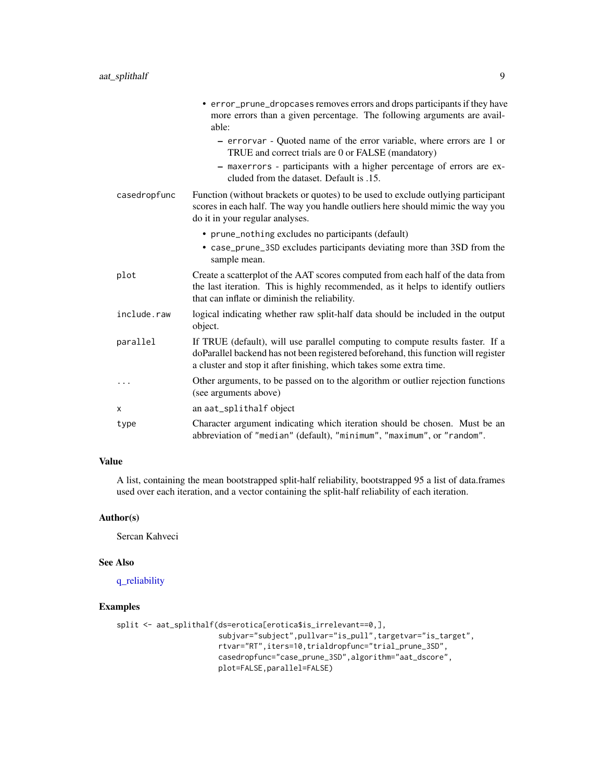<span id="page-8-0"></span>

|              | • error_prune_dropcases removes errors and drops participants if they have<br>more errors than a given percentage. The following arguments are avail-<br>able:                                                                              |
|--------------|---------------------------------------------------------------------------------------------------------------------------------------------------------------------------------------------------------------------------------------------|
|              | - errorvar - Quoted name of the error variable, where errors are 1 or<br>TRUE and correct trials are 0 or FALSE (mandatory)                                                                                                                 |
|              | - maxerrors - participants with a higher percentage of errors are ex-<br>cluded from the dataset. Default is .15.                                                                                                                           |
| casedropfunc | Function (without brackets or quotes) to be used to exclude outlying participant<br>scores in each half. The way you handle outliers here should mimic the way you<br>do it in your regular analyses.                                       |
|              | • prune_nothing excludes no participants (default)                                                                                                                                                                                          |
|              | • case_prune_3SD excludes participants deviating more than 3SD from the<br>sample mean.                                                                                                                                                     |
| plot         | Create a scatterplot of the AAT scores computed from each half of the data from<br>the last iteration. This is highly recommended, as it helps to identify outliers<br>that can inflate or diminish the reliability.                        |
| include.raw  | logical indicating whether raw split-half data should be included in the output<br>object.                                                                                                                                                  |
| parallel     | If TRUE (default), will use parallel computing to compute results faster. If a<br>doParallel backend has not been registered beforehand, this function will register<br>a cluster and stop it after finishing, which takes some extra time. |
| .            | Other arguments, to be passed on to the algorithm or outlier rejection functions<br>(see arguments above)                                                                                                                                   |
| X            | an aat_splithalf object                                                                                                                                                                                                                     |
| type         | Character argument indicating which iteration should be chosen. Must be an<br>abbreviation of "median" (default), "minimum", "maximum", or "random".                                                                                        |

## Value

A list, containing the mean bootstrapped split-half reliability, bootstrapped 95 a list of data.frames used over each iteration, and a vector containing the split-half reliability of each iteration.

#### Author(s)

Sercan Kahveci

#### See Also

[q\\_reliability](#page-14-1)

#### Examples

```
split <- aat_splithalf(ds=erotica[erotica$is_irrelevant==0,],
                      subjvar="subject",pullvar="is_pull",targetvar="is_target",
                      rtvar="RT",iters=10,trialdropfunc="trial_prune_3SD",
                      casedropfunc="case_prune_3SD",algorithm="aat_dscore",
                      plot=FALSE,parallel=FALSE)
```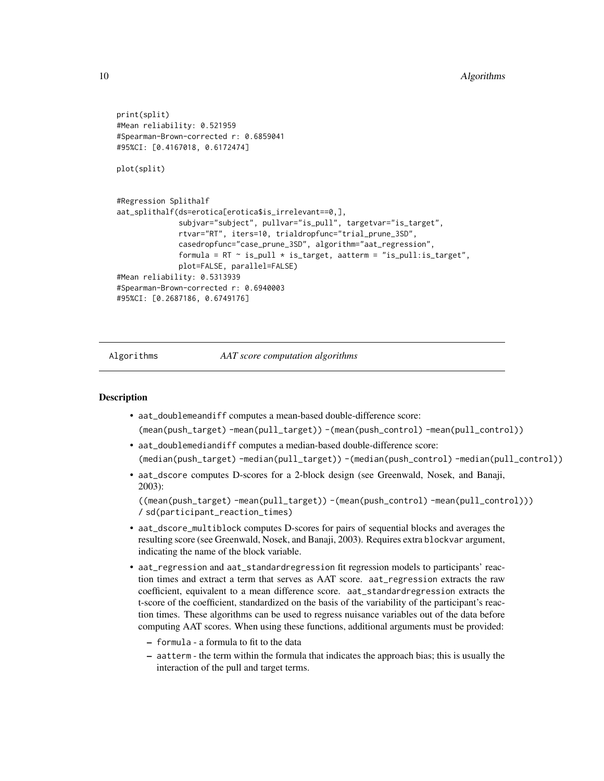```
print(split)
#Mean reliability: 0.521959
#Spearman-Brown-corrected r: 0.6859041
#95%CI: [0.4167018, 0.6172474]
plot(split)
#Regression Splithalf
aat_splithalf(ds=erotica[erotica$is_irrelevant==0,],
              subjvar="subject", pullvar="is_pull", targetvar="is_target",
              rtvar="RT", iters=10, trialdropfunc="trial_prune_3SD",
              casedropfunc="case_prune_3SD", algorithm="aat_regression",
              formula = RT \sim is_pull * is_target, aatterm = "is_pull:is_target",
              plot=FALSE, parallel=FALSE)
#Mean reliability: 0.5313939
#Spearman-Brown-corrected r: 0.6940003
#95%CI: [0.2687186, 0.6749176]
```
<span id="page-9-1"></span>

Algorithms *AAT score computation algorithms*

#### Description

- aat\_doublemeandiff computes a mean-based double-difference score: (mean(push\_target) -mean(pull\_target)) -(mean(push\_control) -mean(pull\_control))
- aat\_doublemediandiff computes a median-based double-difference score: (median(push\_target) -median(pull\_target)) -(median(push\_control) -median(pull\_control))
- aat\_dscore computes D-scores for a 2-block design (see Greenwald, Nosek, and Banaji, 2003):

```
((mean(push_target) -mean(pull_target)) -(mean(push_control) -mean(pull_control)))
/ sd(participant_reaction_times)
```
- aat\_dscore\_multiblock computes D-scores for pairs of sequential blocks and averages the resulting score (see Greenwald, Nosek, and Banaji, 2003). Requires extra blockvar argument, indicating the name of the block variable.
- aat\_regression and aat\_standardregression fit regression models to participants' reaction times and extract a term that serves as AAT score. aat\_regression extracts the raw coefficient, equivalent to a mean difference score. aat\_standardregression extracts the t-score of the coefficient, standardized on the basis of the variability of the participant's reaction times. These algorithms can be used to regress nuisance variables out of the data before computing AAT scores. When using these functions, additional arguments must be provided:
	- formula a formula to fit to the data
	- aatterm the term within the formula that indicates the approach bias; this is usually the interaction of the pull and target terms.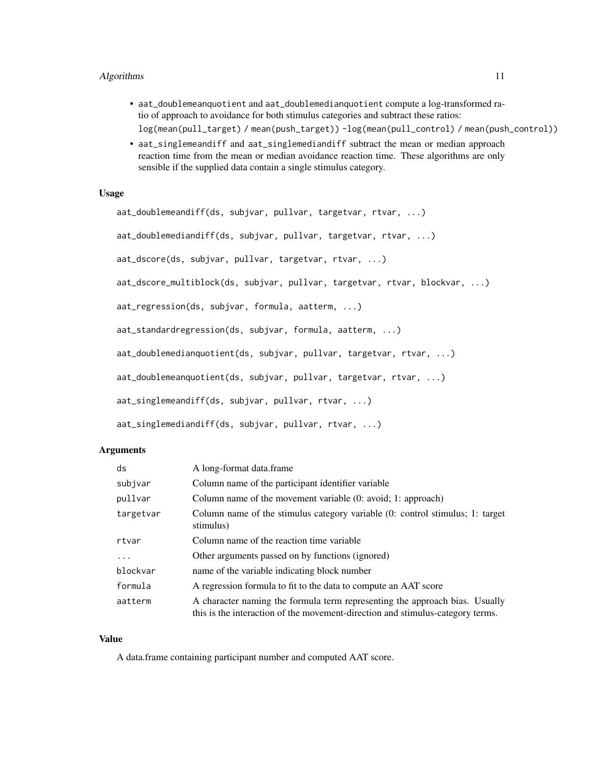#### Algorithms 11

- aat\_doublemeanquotient and aat\_doublemedianquotient compute a log-transformed ratio of approach to avoidance for both stimulus categories and subtract these ratios: log(mean(pull\_target) / mean(push\_target)) -log(mean(pull\_control) / mean(push\_control))
- aat\_singlemeandiff and aat\_singlemediandiff subtract the mean or median approach reaction time from the mean or median avoidance reaction time. These algorithms are only sensible if the supplied data contain a single stimulus category.

#### Usage

```
aat_doublemeandiff(ds, subjvar, pullvar, targetvar, rtvar, ...)
aat_doublemediandiff(ds, subjvar, pullvar, targetvar, rtvar, ...)
aat_dscore(ds, subjvar, pullvar, targetvar, rtvar, ...)
aat_dscore_multiblock(ds, subjvar, pullvar, targetvar, rtvar, blockvar, ...)
aat_regression(ds, subjvar, formula, aatterm, ...)
aat_standardregression(ds, subjvar, formula, aatterm, ...)
aat_doublemedianquotient(ds, subjvar, pullvar, targetvar, rtvar, ...)
aat_doublemeanquotient(ds, subjvar, pullvar, targetvar, rtvar, ...)
aat_singlemeandiff(ds, subjvar, pullvar, rtvar, ...)
aat_singlemediandiff(ds, subjvar, pullvar, rtvar, ...)
```
#### Arguments

| ds        | A long-format data.frame                                                                                                                                      |
|-----------|---------------------------------------------------------------------------------------------------------------------------------------------------------------|
| subjvar   | Column name of the participant identifier variable                                                                                                            |
| pullvar   | Column name of the movement variable (0: avoid; 1: approach)                                                                                                  |
| targetvar | Column name of the stimulus category variable (0: control stimulus; 1: target<br>stimulus)                                                                    |
| rtvar     | Column name of the reaction time variable                                                                                                                     |
|           | Other arguments passed on by functions (ignored)                                                                                                              |
| blockvar  | name of the variable indicating block number                                                                                                                  |
| formula   | A regression formula to fit to the data to compute an AAT score                                                                                               |
| aatterm   | A character naming the formula term representing the approach bias. Usually<br>this is the interaction of the movement-direction and stimulus-category terms. |

#### Value

A data.frame containing participant number and computed AAT score.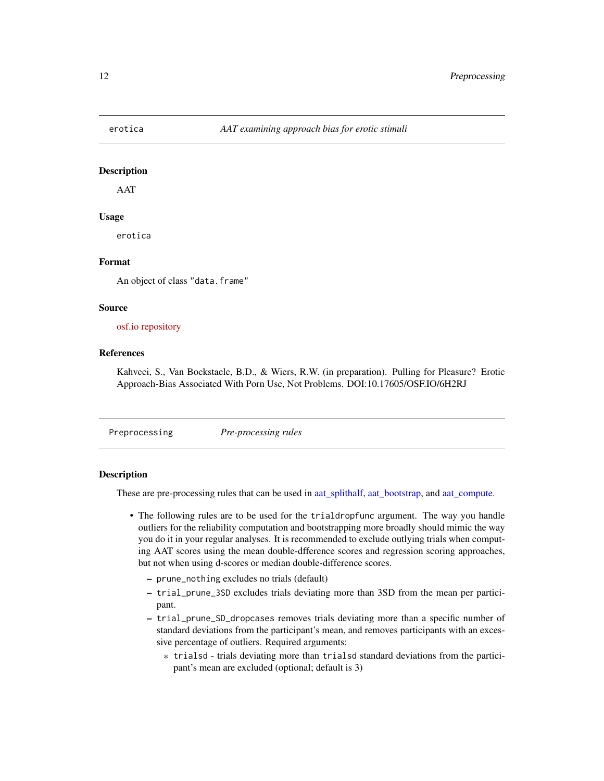<span id="page-11-0"></span>

#### Description

AAT

#### Usage

erotica

#### Format

An object of class "data.frame"

#### Source

#### [osf.io repository](https://osf.io/6h2rj/)

#### References

Kahveci, S., Van Bockstaele, B.D., & Wiers, R.W. (in preparation). Pulling for Pleasure? Erotic Approach-Bias Associated With Porn Use, Not Problems. DOI:10.17605/OSF.IO/6H2RJ

Preprocessing *Pre-processing rules*

#### **Description**

These are pre-processing rules that can be used in [aat\\_splithalf,](#page-6-1) [aat\\_bootstrap,](#page-1-1) and [aat\\_compute.](#page-3-1)

- The following rules are to be used for the trialdropfunc argument. The way you handle outliers for the reliability computation and bootstrapping more broadly should mimic the way you do it in your regular analyses. It is recommended to exclude outlying trials when computing AAT scores using the mean double-dfference scores and regression scoring approaches, but not when using d-scores or median double-difference scores.
	- prune\_nothing excludes no trials (default)
	- trial\_prune\_3SD excludes trials deviating more than 3SD from the mean per participant.
	- trial\_prune\_SD\_dropcases removes trials deviating more than a specific number of standard deviations from the participant's mean, and removes participants with an excessive percentage of outliers. Required arguments:
		- \* trialsd trials deviating more than trialsd standard deviations from the participant's mean are excluded (optional; default is 3)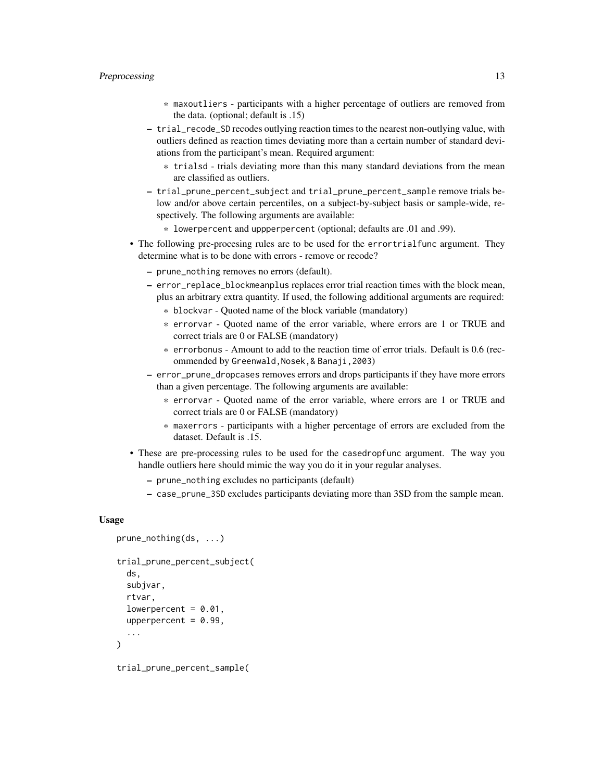#### Preprocessing 13

- \* maxoutliers participants with a higher percentage of outliers are removed from the data. (optional; default is .15)
- trial\_recode\_SD recodes outlying reaction times to the nearest non-outlying value, with outliers defined as reaction times deviating more than a certain number of standard deviations from the participant's mean. Required argument:
	- \* trialsd trials deviating more than this many standard deviations from the mean are classified as outliers.
- trial\_prune\_percent\_subject and trial\_prune\_percent\_sample remove trials below and/or above certain percentiles, on a subject-by-subject basis or sample-wide, respectively. The following arguments are available:
	- \* lowerpercent and uppperpercent (optional; defaults are .01 and .99).
- The following pre-procesing rules are to be used for the errortrialfunc argument. They determine what is to be done with errors - remove or recode?
	- prune\_nothing removes no errors (default).
	- error\_replace\_blockmeanplus replaces error trial reaction times with the block mean, plus an arbitrary extra quantity. If used, the following additional arguments are required:
		- \* blockvar Quoted name of the block variable (mandatory)
		- \* errorvar Quoted name of the error variable, where errors are 1 or TRUE and correct trials are 0 or FALSE (mandatory)
		- \* errorbonus Amount to add to the reaction time of error trials. Default is 0.6 (recommended by Greenwald,Nosek,& Banaji,2003)
	- error\_prune\_dropcases removes errors and drops participants if they have more errors than a given percentage. The following arguments are available:
		- \* errorvar Quoted name of the error variable, where errors are 1 or TRUE and correct trials are 0 or FALSE (mandatory)
		- \* maxerrors participants with a higher percentage of errors are excluded from the dataset. Default is .15.
- These are pre-processing rules to be used for the casedropfunc argument. The way you handle outliers here should mimic the way you do it in your regular analyses.
	- prune\_nothing excludes no participants (default)
	- case\_prune\_3SD excludes participants deviating more than 3SD from the sample mean.

#### Usage

```
prune_nothing(ds, ...)
trial_prune_percent_subject(
  ds,
  subjvar,
  rtvar,
  lowerpercent = 0.01,
  upperpercent = 0.99,
  ...
)
```
trial\_prune\_percent\_sample(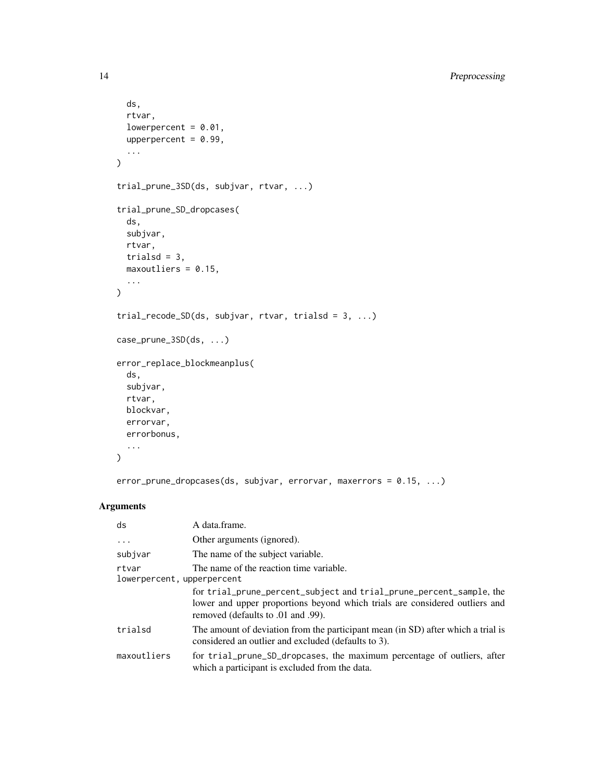```
ds,
  rtvar,
  lowerpercent = 0.01,
  upperpercent = 0.99,
  ...
\mathcal{L}trial_prune_3SD(ds, subjvar, rtvar, ...)
trial_prune_SD_dropcases(
  ds,
  subjvar,
  rtvar,
  trialsd = 3,
  maxoutliers = 0.15,
  ...
\mathcal{L}trial_recode_SD(ds, subjvar, rtvar, trialsd = 3, ...)
case_prune_3SD(ds, ...)
error_replace_blockmeanplus(
  ds,
  subjvar,
  rtvar,
  blockvar,
  errorvar,
  errorbonus,
  ...
\mathcal{L}
```
error\_prune\_dropcases(ds, subjvar, errorvar, maxerrors = 0.15, ...)

### Arguments

| ds                                  | A data.frame.                                                                                                                                                                            |
|-------------------------------------|------------------------------------------------------------------------------------------------------------------------------------------------------------------------------------------|
| $\cdot$                             | Other arguments (ignored).                                                                                                                                                               |
| subjvar                             | The name of the subject variable.                                                                                                                                                        |
| rtvar<br>lowerpercent, upperpercent | The name of the reaction time variable.                                                                                                                                                  |
|                                     | for trial_prune_percent_subject and trial_prune_percent_sample, the<br>lower and upper proportions beyond which trials are considered outliers and<br>removed (defaults to .01 and .99). |
| trialsd                             | The amount of deviation from the participant mean (in SD) after which a trial is<br>considered an outlier and excluded (defaults to 3).                                                  |
| maxoutliers                         | for trial_prune_SD_dropcases, the maximum percentage of outliers, after<br>which a participant is excluded from the data.                                                                |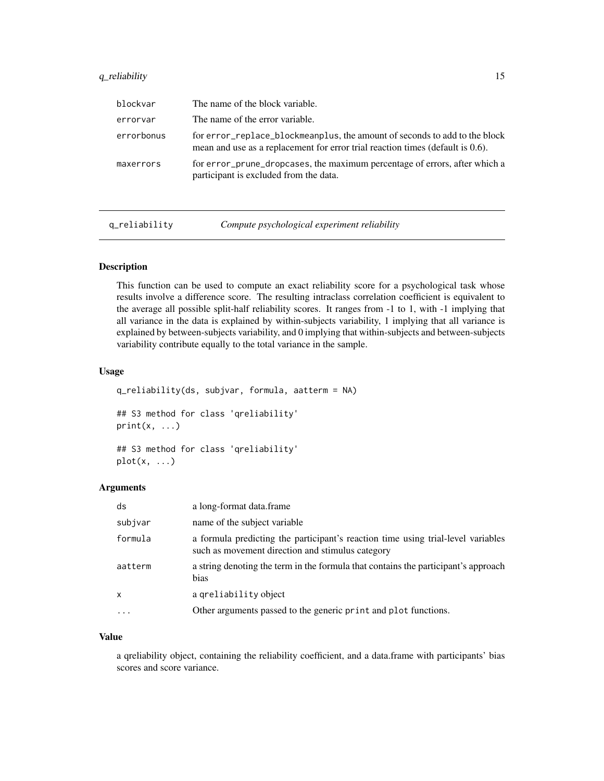#### <span id="page-14-0"></span>q\_reliability 15

| blockvar   | The name of the block variable.                                                                                                                              |
|------------|--------------------------------------------------------------------------------------------------------------------------------------------------------------|
| errorvar   | The name of the error variable.                                                                                                                              |
| errorbonus | for error replace blockmeanplus, the amount of seconds to add to the block<br>mean and use as a replacement for error trial reaction times (default is 0.6). |
| maxerrors  | for error_prune_dropcases, the maximum percentage of errors, after which a<br>participant is excluded from the data.                                         |

<span id="page-14-1"></span>q\_reliability *Compute psychological experiment reliability*

#### Description

This function can be used to compute an exact reliability score for a psychological task whose results involve a difference score. The resulting intraclass correlation coefficient is equivalent to the average all possible split-half reliability scores. It ranges from -1 to 1, with -1 implying that all variance in the data is explained by within-subjects variability, 1 implying that all variance is explained by between-subjects variability, and 0 implying that within-subjects and between-subjects variability contribute equally to the total variance in the sample.

#### Usage

```
q_reliability(ds, subjvar, formula, aatterm = NA)
## S3 method for class 'qreliability'
print(x, \ldots)## S3 method for class 'qreliability'
plot(x, \ldots)
```
#### Arguments

| ds           | a long-format data.frame                                                                                                             |
|--------------|--------------------------------------------------------------------------------------------------------------------------------------|
| subjvar      | name of the subject variable                                                                                                         |
| formula      | a formula predicting the participant's reaction time using trial-level variables<br>such as movement direction and stimulus category |
| aatterm      | a string denoting the term in the formula that contains the participant's approach<br>bias                                           |
| $\mathsf{x}$ | a greliability object                                                                                                                |
| $\ddotsc$    | Other arguments passed to the generic print and plot functions.                                                                      |

#### Value

a qreliability object, containing the reliability coefficient, and a data.frame with participants' bias scores and score variance.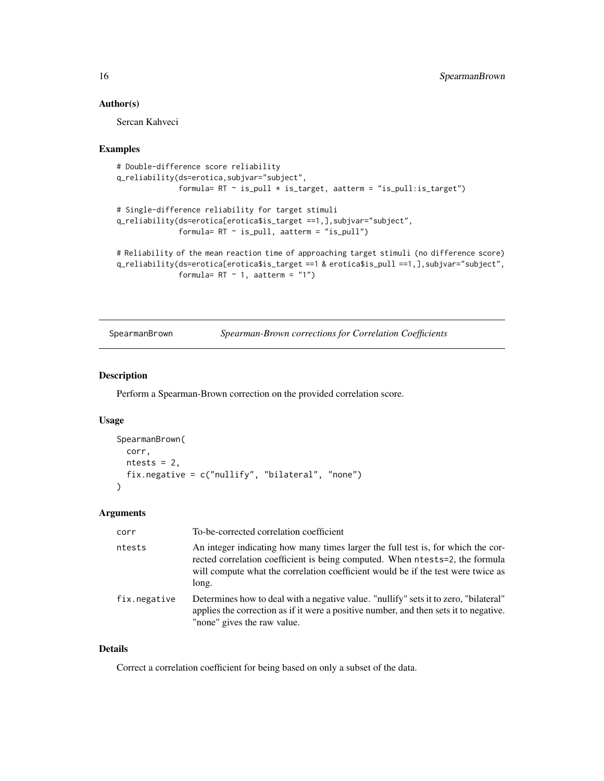#### <span id="page-15-0"></span>Author(s)

Sercan Kahveci

#### Examples

```
# Double-difference score reliability
q_reliability(ds=erotica,subjvar="subject",
              formula= RT ~ is_pull * is_target, aatterm = "is_pull:is_target")
# Single-difference reliability for target stimuli
q_reliability(ds=erotica[erotica$is_target ==1,],subjvar="subject",
              formula= RT \sim is_pull, aatterm = "is_pull")
# Reliability of the mean reaction time of approaching target stimuli (no difference score)
q_reliability(ds=erotica[erotica$is_target ==1 & erotica$is_pull ==1,],subjvar="subject",
              formula= RT \sim 1, aatterm = "1")
```
SpearmanBrown *Spearman-Brown corrections for Correlation Coefficients*

#### Description

Perform a Spearman-Brown correction on the provided correlation score.

#### Usage

```
SpearmanBrown(
 corr,
 ntests = 2,
 fix.negative = c("nullify", "bilateral", "none")
\lambda
```
#### Arguments

| corr         | To-be-corrected correlation coefficient                                                                                                                                                                                                                       |
|--------------|---------------------------------------------------------------------------------------------------------------------------------------------------------------------------------------------------------------------------------------------------------------|
| ntests       | An integer indicating how many times larger the full test is, for which the cor-<br>rected correlation coefficient is being computed. When ntests=2, the formula<br>will compute what the correlation coefficient would be if the test were twice as<br>long. |
| fix.negative | Determines how to deal with a negative value. "nullify" sets it to zero, "bilateral"<br>applies the correction as if it were a positive number, and then sets it to negative.<br>"none" gives the raw value.                                                  |

#### Details

Correct a correlation coefficient for being based on only a subset of the data.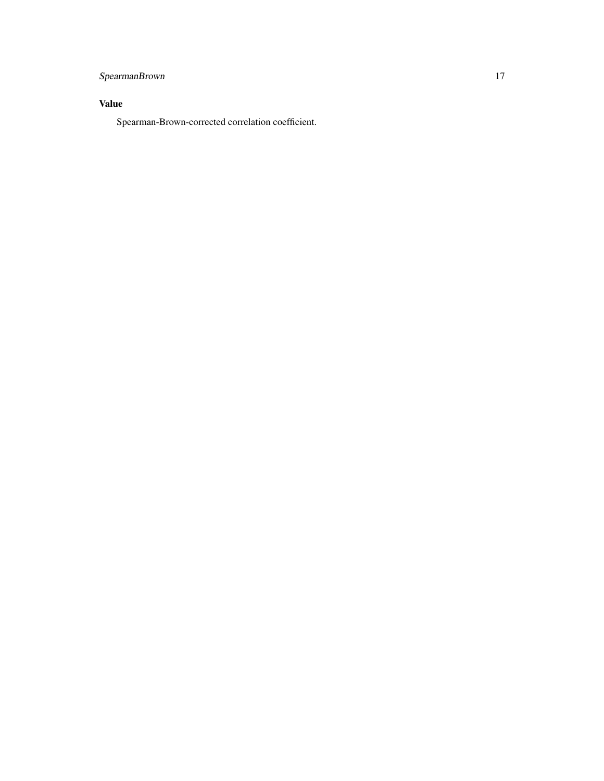## SpearmanBrown 17

## Value

Spearman-Brown-corrected correlation coefficient.